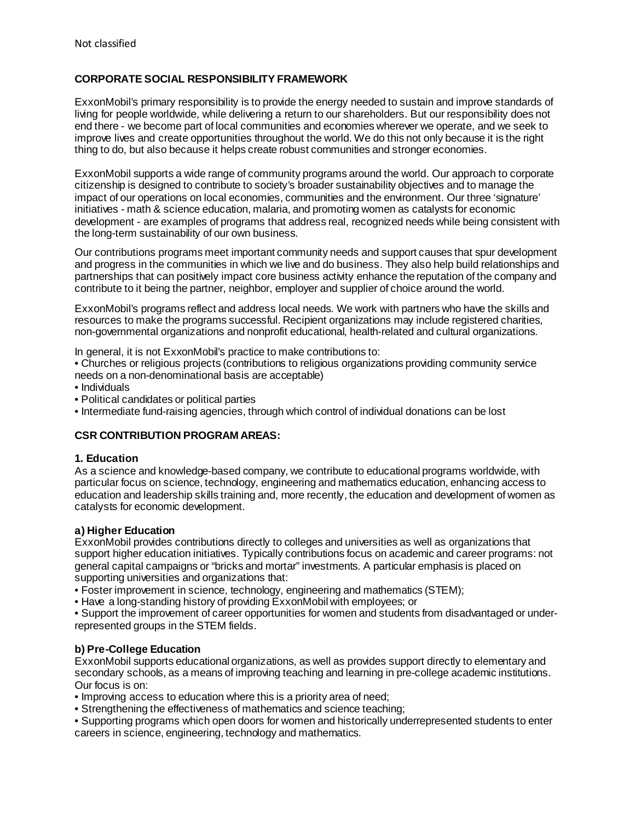# **CORPORATE SOCIAL RESPONSIBILITY FRAMEWORK**

ExxonMobil's primary responsibility is to provide the energy needed to sustain and improve standards of living for people worldwide, while delivering a return to our shareholders. But our responsibility does not end there - we become part of local communities and economies wherever we operate, and we seek to improve lives and create opportunities throughout the world. We do this not only because it is the right thing to do, but also because it helps create robust communities and stronger economies.

ExxonMobil supports a wide range of community programs around the world. Our approach to corporate citizenship is designed to contribute to society's broader sustainability objectives and to manage the impact of our operations on local economies, communities and the environment. Our three 'signature' initiatives - math & science education, malaria, and promoting women as catalysts for economic development - are examples of programs that address real, recognized needs while being consistent with the long-term sustainability of our own business.

Our contributions programs meet important community needs and support causes that spur development and progress in the communities in which we live and do business. They also help build relationships and partnerships that can positively impact core business activity enhance the reputation of the company and contribute to it being the partner, neighbor, employer and supplier of choice around the world.

ExxonMobil's programs reflect and address local needs. We work with partners who have the skills and resources to make the programs successful. Recipient organizations may include registered charities, non-governmental organizations and nonprofit educational, health-related and cultural organizations.

In general, it is not ExxonMobil's practice to make contributions to:

- Churches or religious projects (contributions to religious organizations providing community service needs on a non-denominational basis are acceptable)
- Individuals
- Political candidates or political parties
- Intermediate fund-raising agencies, through which control of individual donations can be lost

### **CSR CONTRIBUTION PROGRAM AREAS:**

### **1. Education**

As a science and knowledge-based company, we contribute to educational programs worldwide, with particular focus on science, technology, engineering and mathematics education, enhancing access to education and leadership skills training and, more recently, the education and development of women as catalysts for economic development.

### **a) Higher Education**

ExxonMobil provides contributions directly to colleges and universities as well as organizations that support higher education initiatives. Typically contributions focus on academic and career programs: not general capital campaigns or "bricks and mortar" investments. A particular emphasis is placed on supporting universities and organizations that:

- Foster improvement in science, technology, engineering and mathematics (STEM);
- Have a long-standing history of providing ExxonMobil with employees; or

• Support the improvement of career opportunities for women and students from disadvantaged or underrepresented groups in the STEM fields.

### **b) Pre-College Education**

ExxonMobil supports educational organizations, as well as provides support directly to elementary and secondary schools, as a means of improving teaching and learning in pre-college academic institutions. Our focus is on:

- Improving access to education where this is a priority area of need;
- Strengthening the effectiveness of mathematics and science teaching;
- Supporting programs which open doors for women and historically underrepresented students to enter careers in science, engineering, technology and mathematics.